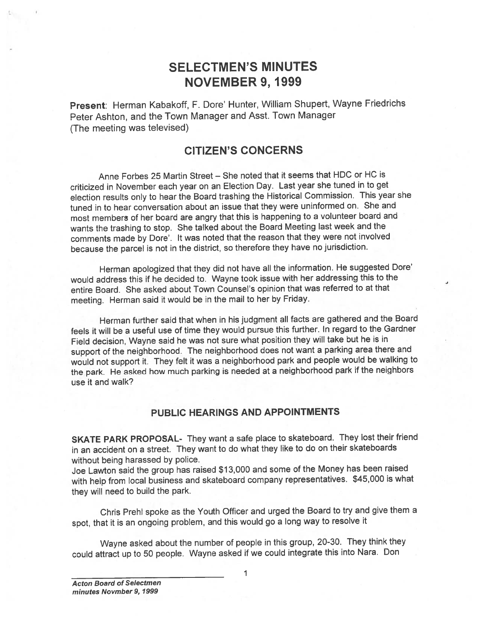## SELECTMEN'S MINUTES NOVEMBER 9, 1999

Present: Herman Kabakoff, F. Dore' Hunter, William Shupert, Wayne Friedrichs Peter Ashton, and the Town Manager and Asst. Town Manager (The meeting was televised)

### CITIZEN'S CONCERNS

Anne Forbes 25 Martin Street — She noted that it seems that HDC or HC is criticized in November each year on an Election Day. Last year she tuned in to ge<sup>t</sup> election results only to hear the Board trashing the Historical Commission. This year she tuned in to hear conversation about an issue that they were uninformed on. She and most members of her board are angry that this is happening to <sup>a</sup> volunteer board and wants the trashing to stop. She talked about the Board Meeting last week and the comments made by Dore'. It was noted that the reason that they were not involved because the parce<sup>l</sup> is not in the district, so therefore they have no jurisdiction.

Herman apologized that they did not have all the information. He suggested Dore' would address this if he decided to. Wayne took issue with her addressing this to the entire Board. She asked about Town Counsel's opinion that was referred to at that meeting. Herman said it would be in the mail to her by Friday.

Herman further said that when in his judgment all facts are gathered and the Board feels it will be <sup>a</sup> useful use of time they would pursue this further. In regar<sup>d</sup> to the Gardner Field decision, Wayne said he was not sure what position they will take but he is in suppor<sup>t</sup> of the neighborhood. The neighborhood does not want <sup>a</sup> parking area there and would not suppor<sup>t</sup> it. They felt it was <sup>a</sup> neighborhood park and people would be walking to the park. He asked how much parking is needed at <sup>a</sup> neighborhood park if the neighbors use it and walk?

#### PUBLIC HEARINGS AND APPOINTMENTS

SKATE PARK PROPOSAL- They want <sup>a</sup> safe <sup>p</sup>lace to skateboard. They lost their friend in an accident on <sup>a</sup> street. They want to do what they like to do on their skateboards without being harassed by police.

Joe Lawton said the group has raised \$13,000 and some of the Money has been raised with help from local business and skateboard company representatives. \$45,000 is what they will need to build the park.

Chris Prehl spoke as the Youth Officer and urge<sup>d</sup> the Board to try and <sup>g</sup>ive them <sup>a</sup> spot, that it is an ongoing problem, and this would go <sup>a</sup> long way to resolve it

Wayne asked about the number of people in this group, 20-30. They think they could attract up to <sup>50</sup> people. Wayne asked if we could integrate this into Nara. Don

1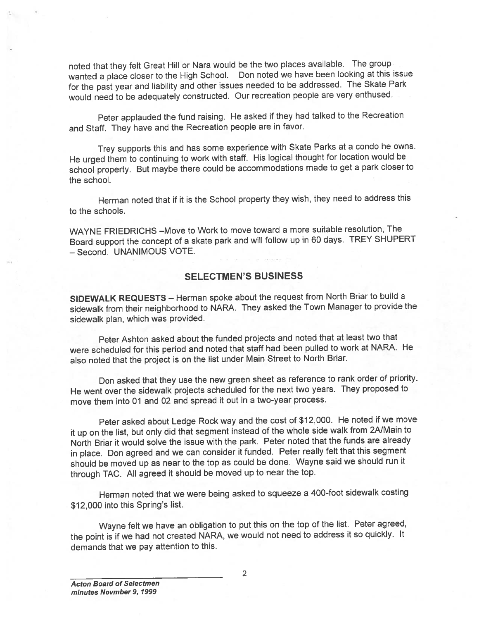noted that they felt Great Hill or Nara would be the two <sup>p</sup>laces available. The group wanted <sup>a</sup> <sup>p</sup>lace closer to the High School. Don noted we have been looking at this issue for the pas<sup>t</sup> year and liability and other issues needed to be addressed. The Skate Park would need to be adequately constructed. Our recreation people are very enthused.

Peter applauded the fund raising. He asked if they had talked to the Recreation and Staff. They have and the Recreation people are in favor.

Trey supports this and has some experience with Skate Parks at <sup>a</sup> condo he owns. He urge<sup>d</sup> them to continuing to work with staff. His logical thought for location would be school property. But maybe there could be accommodations made to ge<sup>t</sup> <sup>a</sup> park closer to the school.

Herman noted that if it is the School property they wish, they need to address this to the schools.

WAYNE FRIEDRICHS —Move to Work to move toward <sup>a</sup> more suitable resolution, The Board suppor<sup>t</sup> the concep<sup>t</sup> of <sup>a</sup> skate park and will follow up in <sup>60</sup> days. TREY SHUPERT — Second. UNANIMOUS VOTE.

#### SELECTMEN'S BUSINESS

SIDEWALK REQUESTS — Herman spoke about the reques<sup>t</sup> from North Briar to build <sup>a</sup> sidewalk from their neighborhood to NARA. They asked the Town Manager to provide the sidewalk <sup>p</sup>lan, which was provided.

Peter Ashton asked about the funded projects and noted that at least two that were scheduled for this period and noted that staff had been pulled to work at NARA. He also noted that the project is on the list under Main Street to North Briar.

Don asked that they use the new green sheet as reference to tank order of priority. He went over the sidewalk projects scheduled for the next two years. They propose<sup>d</sup> to move them into 01 and 02 and spread it out in <sup>a</sup> two-year process.

Peter asked about Ledge Rock way and the cost of \$12,000. He noted if we move it up on the list, but only did that segmen<sup>t</sup> instead of the whole side walk from 2NMain to North Briar it would solve the issue with the park. Peter noted that the funds are already in <sup>p</sup>lace. Don agree<sup>d</sup> and we can consider it funded. Peter really felt that this segmen<sup>t</sup> should be moved up as near to the top as could be done. Wayne said we should run it through TAC. All agree<sup>d</sup> it should be moved up to near the top.

Herman noted that we were being asked to squeeze <sup>a</sup> 400-foot sidewalk costing \$12,000 into this Spring's list.

Wayne felt we have an obligation to pu<sup>t</sup> this on the top of the list. Peter agreed, the point is if we had not created NARA, we would not need to address it so quickly. It demands that we pay attention to this.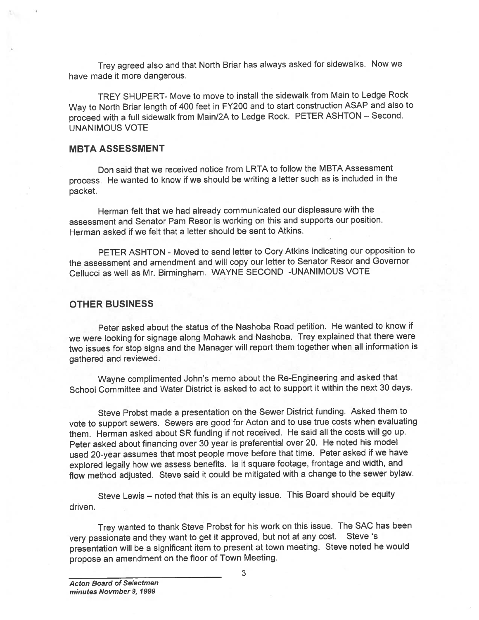Trey agree<sup>d</sup> also and that North Briar has always asked for sidewalks. Now we have made it more dangerous.

TREY SHUPERT- Move to move to install the sidewalk from Main to Ledge Rock Way to North Briar length of <sup>400</sup> feet in FY200 and to start construction ASAP and also to procee<sup>d</sup> with <sup>a</sup> full sidewalk from Main/2A to Ledge Rock. PETER ASHTON — Second. UNANIMOUS VOTE

#### MBTA ASSESSMENT

Don said that we received notice from LRTA to follow the MBTA Assessment process. He wanted to know if we should be writing <sup>a</sup> letter such as is included in the packet.

Herman felt that we had already communicated our displeasure with the assessment and Senator Pam Resor is working on this and supports our position. Herman asked if we felt that <sup>a</sup> letter should be sent to Atkins.

PETER ASHTON - Moved to send letter to Cory Atkins indicating our opposition to the assessment and amendment and will copy our letter to Senator Resor and Governor Cellucci as well as Mr. Birmingham. WAYNE SECOND -UNANIMOUS VOTE

#### OTHER BUSINESS

Peter asked about the status of the Nashoba Road petition. He wanted to know if we were looking for signage along Mohawk and Nashoba. Trey explained that there were two issues for stop signs and the Manager will repor<sup>t</sup> them together when all information is gathered and reviewed.

Wayne complimented John's memo about the Re-Engineering and asked that School Committee and Water District is asked to act to suppor<sup>t</sup> it within the next 30 days.

Steve Probst made <sup>a</sup> presentation on the Sewer District funding. Asked them to vote to suppor<sup>t</sup> sewers. Sewers are goo<sup>d</sup> for Acton and to use true costs when evaluating them. Herman asked about SR funding if not received. He said all the costs will go up. Peter asked about financing over <sup>30</sup> year is preferential over 20. He noted his model used 20-year assumes that most people move before that time. Peter asked if we have explored legally how we assess benefits. Is it square footage, frontage and width, and flow method adjusted. Steve said it could be mitigated with <sup>a</sup> change to the sewer bylaw.

Steve Lewis — noted that this is an equity issue. This Board should be equity driven.

Trey wanted to thank Steve Probst for his work on this issue. The SAC has been very passionate and they want to ge<sup>t</sup> it approved, but not at any cost. Steve 's presentation will be <sup>a</sup> significant item to presen<sup>t</sup> at town meeting. Steve noted he would propose an amendment on the floor of Town Meeting.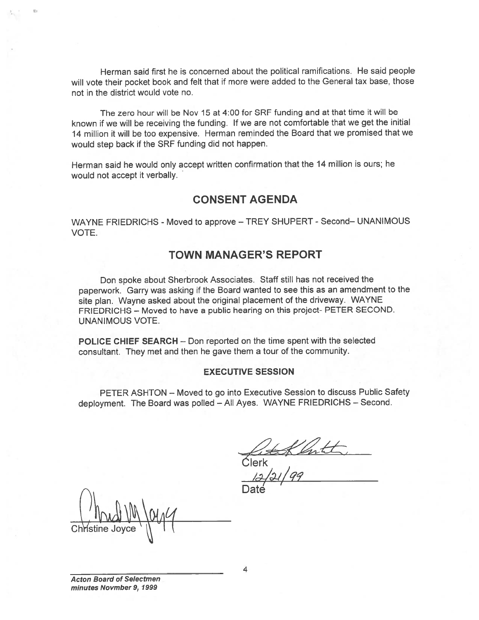Herman said first he is concerned about the political ramifications. He said people will vote their pocket book and felt that if more were added to the General tax base, those not in the district would vote no.

The zero hour will be Nov 15 at 4:00 for SRF funding and at that time it will be known if we will be receiving the funding. If we are not comfortable that we ge<sup>t</sup> the initial <sup>14</sup> million it will be too expensive. Herman reminded the Board that we promised that we would step back if the SRF funding did not happen.

Herman said he would only accep<sup>t</sup> written confirmation that the <sup>14</sup> million is outs; he would not accep<sup>t</sup> it verbally.

### CONSENT AGENDA

WAYNE FRIEDRICHS - Moved to approve — TREY SHUPERT - Second— UNANIMOUS VOTE.

### TOWN MANAGER'S REPORT

Don spoke about Sherbrook Associates. Staff still has not received the paperwork. Garry was asking if the Board wanted to see this as an amendment to the site <sup>p</sup>lan. Wayne asked about the original <sup>p</sup>lacement of the driveway. WAYNE FRIEDRICHS — Moved to have <sup>a</sup> public hearing on this project- PETER SECOND. UNANIMOUS VOTE.

POLICE CHIEF SEARCH — Don reported on the time spen<sup>t</sup> with the selected consultant. They met and then he gave them <sup>a</sup> tour of the community.

#### EXECUTIVE SESSION

PETER ASHTON — Moved to go into Executive Session to discuss Public Safety deployment. The Board was polled — All Ayes. WAYNE FRIEDRICHS — Second.

Klartz<br>Clerk

Date

Christine Joyce  $\setminus$  | | |

Acton Board of Selectmen minutes Novmber 9, 1999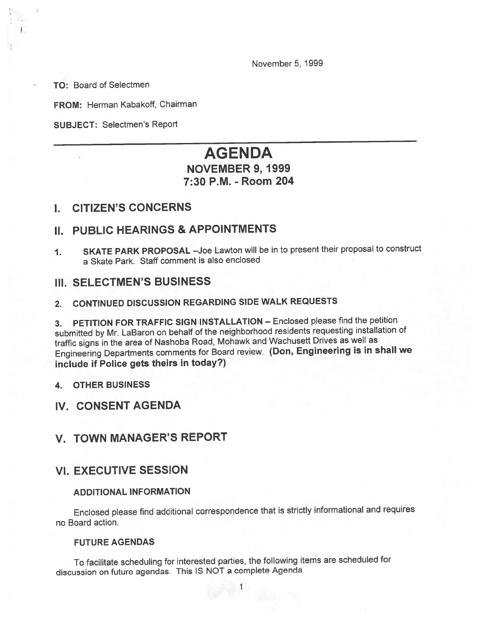November 5, 1999

TO: Board of Selectmen

FROM: Herman Kabakoff, Chairman

SUBJECT: Selectmen's Report

# AGENDA

### NOVEMBER 9, 1999 7:30 P.M. -Room 204

#### I. CITIZEN'S CONCERNS

### II. PUBLIC HEARINGS & APPOINTMENTS

1. SKATE PARK PROPOSAL —Joe Lawton will be in to presen<sup>t</sup> their proposa<sup>l</sup> to construct <sup>a</sup> Skate Park. Staff comment is also enclosed

### III. SELECTMEN'S BUSINESS

2. CONTINUED DISCUSSION REGARDING SIDE WALK REQUESTS

3. PETITION FOR TRAFFIC SIGN INSTALLATION — Enclosed <sup>p</sup>lease find the petition submitted by Mr. LaBaron on behalf of the neighborhood residents requesting installation of traffic signs in the area of Nashoba Road, Mohawk and Wachusett Drives as well as Engineering Departments comments for Board review. (Don, Engineering is in shall we include if Police gets theirs in today?)

4. OTHER BUSINESS

### IV. CONSENT AGENDA

### V. TOWN MANAGER'S REPORT

### VI. EXECUTIVE SESSION

#### ADDITIONAL INFORMATION

Enclosed <sup>p</sup>lease find additional correspondence that is strictly informational and requires no Board action.

#### FUTURE AGENDAS

To facilitate scheduling for interested parties, the following items are scheduled for discussion on future agendas. This IS NOT <sup>a</sup> complete Agenda.